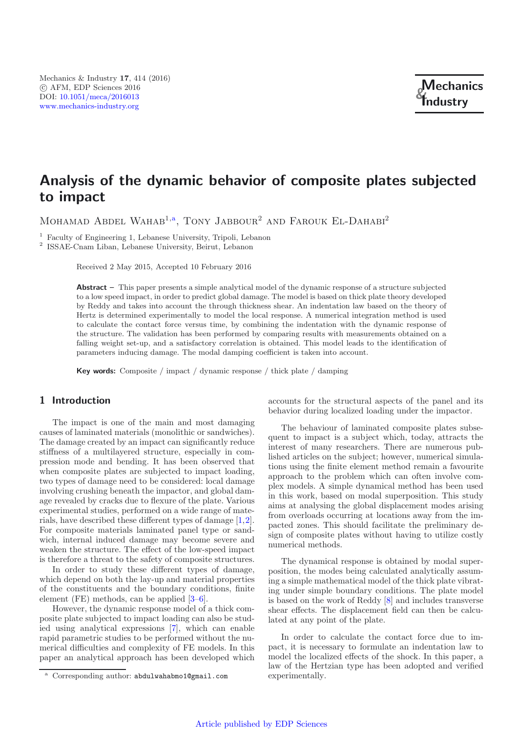# **Analysis of the dynamic behavior of composite plates subjected to impact**

MOHAMAD ABDEL WAHAB<sup>1,a</sup>, TONY JABBOUR<sup>2</sup> AND FAROUK EL-DAHABI<sup>2</sup>

<sup>1</sup> Faculty of Engineering 1, Lebanese University, Tripoli, Lebanon

<sup>2</sup> ISSAE-Cnam Liban, Lebanese University, Beirut, Lebanon

Received 2 May 2015, Accepted 10 February 2016

**Abstract –** This paper presents a simple analytical model of the dynamic response of a structure subjected to a low speed impact, in order to predict global damage. The model is based on thick plate theory developed by Reddy and takes into account the through thickness shear. An indentation law based on the theory of Hertz is determined experimentally to model the local response. A numerical integration method is used to calculate the contact force versus time, by combining the indentation with the dynamic response of the structure. The validation has been performed by comparing results with measurements obtained on a falling weight set-up, and a satisfactory correlation is obtained. This model leads to the identification of parameters inducing damage. The modal damping coefficient is taken into account.

**Key words:** Composite / impact / dynamic response / thick plate / damping

## **1 Introduction**

The impact is one of the main and most damaging causes of laminated materials (monolithic or sandwiches). The damage created by an impact can significantly reduce stiffness of a multilayered structure, especially in compression mode and bending. It has been observed that when composite plates are subjected to impact loading, two types of damage need to be considered: local damage involving crushing beneath the impactor, and global damage revealed by cracks due to flexure of the plate. Various experimental studies, performed on a wide range of materials, have described these different types of damage [\[1](#page-7-0)[,2](#page-7-1)]. For composite materials laminated panel type or sandwich, internal induced damage may become severe and weaken the structure. The effect of the low-speed impact is therefore a threat to the safety of composite structures.

In order to study these different types of damage, which depend on both the lay-up and material properties of the constituents and the boundary conditions, finite element (FE) methods, can be applied [\[3](#page-7-2)[–6\]](#page-7-3).

However, the dynamic response model of a thick composite plate subjected to impact loading can also be studied using analytical expressions [\[7](#page-7-4)], which can enable rapid parametric studies to be performed without the numerical difficulties and complexity of FE models. In this paper an analytical approach has been developed which accounts for the structural aspects of the panel and its behavior during localized loading under the impactor.

The behaviour of laminated composite plates subsequent to impact is a subject which, today, attracts the interest of many researchers. There are numerous published articles on the subject; however, numerical simulations using the finite element method remain a favourite approach to the problem which can often involve complex models. A simple dynamical method has been used in this work, based on modal superposition. This study aims at analysing the global displacement modes arising from overloads occurring at locations away from the impacted zones. This should facilitate the preliminary design of composite plates without having to utilize costly numerical methods.

The dynamical response is obtained by modal superposition, the modes being calculated analytically assuming a simple mathematical model of the thick plate vibrating under simple boundary conditions. The plate model is based on the work of Reddy [\[8](#page-7-5)] and includes transverse shear effects. The displacement field can then be calculated at any point of the plate.

In order to calculate the contact force due to impact, it is necessary to formulate an indentation law to model the localized effects of the shock. In this paper, a law of the Hertzian type has been adopted and verified experimentally.

<sup>a</sup> Corresponding author: abdulwahabmo1@gmail.com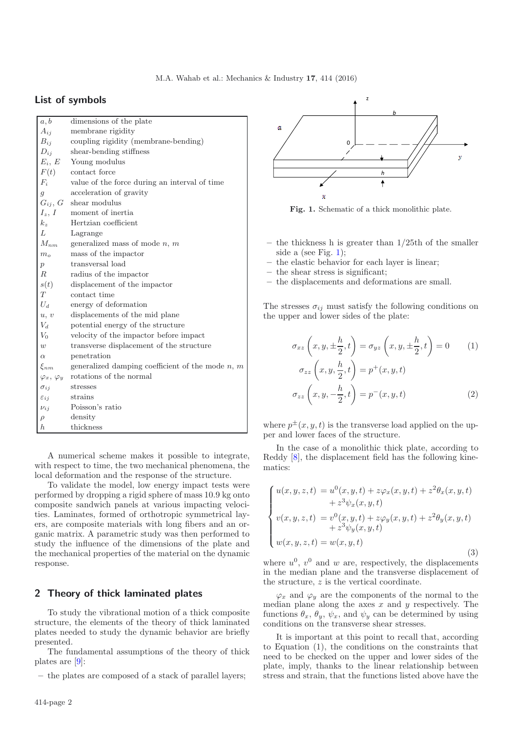# **List of symbols**

| a, b                   | dimensions of the plate                            |
|------------------------|----------------------------------------------------|
| $A_{ij}$               | membrane rigidity                                  |
| $B_{ij}$               | coupling rigidity (membrane-bending)               |
| $D_{ij}$               | shear-bending stiffness                            |
| $E_i, E$               | Young modulus                                      |
| F(t)                   | contact force                                      |
| $F_i$                  | value of the force during an interval of time      |
| $\mathfrak{g}$         | acceleration of gravity                            |
| $G_{ij},\,G$           | shear modulus                                      |
| $I_z, I$               | moment of inertia                                  |
| $k_z$                  | Hertzian coefficient                               |
| L                      | Lagrange                                           |
| $M_{nm}$               | generalized mass of mode $n, m$                    |
| m <sub>o</sub>         | mass of the impactor                               |
| $\mathcal{p}$          | transversal load                                   |
| R.                     | radius of the impactor                             |
| s(t)                   | displacement of the impactor                       |
| T                      | contact time                                       |
| $U_d$                  | energy of deformation                              |
| u, v                   | displacements of the mid plane                     |
| $V_d$                  | potential energy of the structure                  |
| $V_0$                  | velocity of the impactor before impact             |
| w                      | transverse displacement of the structure           |
| $\alpha$               | penetration                                        |
| $\xi_{nm}$             | generalized damping coefficient of the mode $n, m$ |
| $\varphi_x, \varphi_y$ | rotations of the normal                            |
| $\sigma_{ij}$          | stresses                                           |
| $\varepsilon_{ij}$     | strains                                            |
| $\nu_{ij}$             | Poisson's ratio                                    |
| $\rho$                 | density                                            |
| h                      | thickness                                          |
|                        |                                                    |

A numerical scheme makes it possible to integrate, with respect to time, the two mechanical phenomena, the local deformation and the response of the structure.

To validate the model, low energy impact tests were performed by dropping a rigid sphere of mass 10.9 kg onto composite sandwich panels at various impacting velocities. Laminates, formed of orthotropic symmetrical layers, are composite materials with long fibers and an organic matrix. A parametric study was then performed to study the influence of the dimensions of the plate and the mechanical properties of the material on the dynamic response.

## **2 Theory of thick laminated plates**

To study the vibrational motion of a thick composite structure, the elements of the theory of thick laminated plates needed to study the dynamic behavior are briefly presented.

The fundamental assumptions of the theory of thick plates are [\[9\]](#page-7-6):

**–** the plates are composed of a stack of parallel layers;

<span id="page-1-0"></span>



- **–** the thickness h is greater than 1/25th of the smaller side a (see Fig. [1\)](#page-1-0);
- **–** the elastic behavior for each layer is linear;
- **–** the shear stress is significant;
- **–** the displacements and deformations are small.

The stresses  $\sigma_{ij}$  must satisfy the following conditions on the upper and lower sides of the plate:

$$
\sigma_{xz}\left(x,y,\pm\frac{h}{2},t\right) = \sigma_{yz}\left(x,y,\pm\frac{h}{2},t\right) = 0 \qquad (1)
$$

$$
\sigma_{zz}\left(x,y,\frac{h}{2},t\right) = p^+(x,y,t)
$$

$$
\sigma_{zz}\left(x,y,-\frac{h}{2},t\right) = p^-(x,y,t) \qquad (2)
$$

where  $p^{\pm}(x, y, t)$  is the transverse load applied on the upper and lower faces of the structure.

In the case of a monolithic thick plate, according to Reddy [\[8](#page-7-5)], the displacement field has the following kinematics:

$$
\begin{cases}\nu(x, y, z, t) = u^{0}(x, y, t) + z\varphi_{x}(x, y, t) + z^{2}\theta_{x}(x, y, t) \\
+ z^{3}\psi_{x}(x, y, t) \\
v(x, y, z, t) = v^{0}(x, y, t) + z\varphi_{y}(x, y, t) + z^{2}\theta_{y}(x, y, t) \\
+ z^{3}\psi_{y}(x, y, t) \\
w(x, y, z, t) = w(x, y, t)\n\end{cases}
$$
\n(3)

where  $u^0$ ,  $v^0$  and w are, respectively, the displacements in the median plane and the transverse displacement of the structure, z is the vertical coordinate.

 $\varphi_x$  and  $\varphi_y$  are the components of the normal to the median plane along the axes  $x$  and  $y$  respectively. The functions  $\theta_x$ ,  $\theta_y$ ,  $\psi_x$ , and  $\psi_y$  can be determined by using conditions on the transverse shear stresses.

It is important at this point to recall that, according to Equation (1), the conditions on the constraints that need to be checked on the upper and lower sides of the plate, imply, thanks to the linear relationship between stress and strain, that the functions listed above have the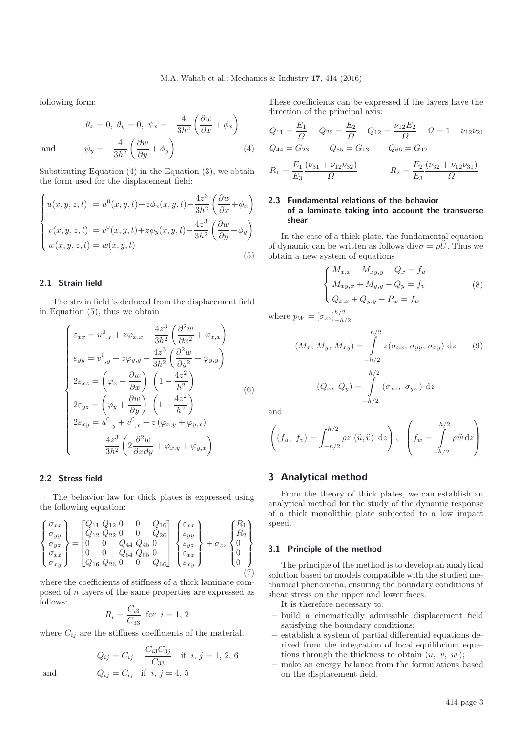following form:

$$
\theta_x = 0, \ \theta_y = 0, \ \psi_x = -\frac{4}{3h^2} \left( \frac{\partial w}{\partial x} + \phi_x \right)
$$
  
and 
$$
\psi_y = -\frac{4}{3h^2} \left( \frac{\partial w}{\partial y} + \phi_y \right)
$$
 (4)

Substituting Equation  $(4)$  in the Equation  $(3)$ , we obtain the form used for the displacement field:

$$
\begin{cases}\nu(x,y,z,t) = u^0(x,y,t) + z\phi_x(x,y,t) - \frac{4z^3}{3h^2} \left(\frac{\partial w}{\partial x} + \phi_x\right) \\
v(x,y,z,t) = v^0(x,y,t) + z\phi_y(x,y,t) - \frac{4z^3}{3h^2} \left(\frac{\partial w}{\partial y} + \phi_y\right) \\
w(x,y,z,t) = w(x,y,t)\n\end{cases}
$$
\n(5)

## **2.1 Strain field**

The strain field is deduced from the displacement field in Equation (5), thus we obtain

$$
\begin{cases}\n\varepsilon_{xx} = u^0_{\ ,x} + z\varphi_{x,x} - \frac{4z^3}{3h^2} \left( \frac{\partial^2 w}{\partial x^2} + \varphi_{x,x} \right) \\
\varepsilon_{yy} = v^0_{\ ,y} + z\varphi_{y,y} - \frac{4z^3}{3h^2} \left( \frac{\partial^2 w}{\partial y^2} + \varphi_{y,y} \right) \\
2\varepsilon_{xz} = \left( \varphi_x + \frac{\partial w}{\partial x} \right) \left( 1 - \frac{4z^2}{h^2} \right) \\
2\varepsilon_{yz} = \left( \varphi_y + \frac{\partial w}{\partial y} \right) \left( 1 - \frac{4z^2}{h^2} \right) \\
2\varepsilon_{xy} = u^0_{\ ,y} + v^0_{\ ,x} + z \left( \varphi_{x,y} + \varphi_{y,x} \right) \\
-\frac{4z^3}{3h^2} \left( 2\frac{\partial^2 w}{\partial x \partial y} + \varphi_{x,y} + \varphi_{y,x} \right)\n\end{cases} (6)
$$

#### **2.2 Stress field**

The behavior law for thick plates is expressed using the following equation:

$$
\begin{Bmatrix}\n\sigma_{xx} \\
\sigma_{yy} \\
\sigma_{yz} \\
\sigma_{xz} \\
\sigma_{xy}\n\end{Bmatrix} = \begin{bmatrix}\nQ_{11} & Q_{12} & 0 & 0 & Q_{16} \\
Q_{12} & Q_{22} & 0 & 0 & Q_{26} \\
0 & 0 & Q_{44} & Q_{45} & 0 \\
0 & 0 & Q_{54} & Q_{55} & 0 \\
Q_{16} & Q_{26} & 0 & 0 & Q_{66}\n\end{bmatrix} \begin{Bmatrix}\n\varepsilon_{xx} \\
\varepsilon_{yy} \\
\varepsilon_{yz} \\
\varepsilon_{xz} \\
\varepsilon_{xy}\n\end{Bmatrix} + \sigma_{zz} \begin{Bmatrix}\nR_1 \\
R_2 \\
0 \\
0 \\
0\n\end{Bmatrix}
$$
\n(7)

where the coefficients of stiffness of a thick laminate composed of n layers of the same properties are expressed as follows:

$$
R_i = \frac{C_{i3}}{C_{33}} \text{ for } i = 1, 2
$$

where  $C_{ij}$  are the stiffness coefficients of the material.

$$
Q_{ij} = C_{ij} - \frac{C_{i3}C_{3j}}{C_{33}} \quad \text{if } i, j = 1, 2, 6
$$
  
and  

$$
Q_{ij} = C_{ij} \quad \text{if } i, j = 4, 5
$$

These coefficients can be expressed if the layers have the direction of the principal axis:

$$
Q_{11} = \frac{E_1}{\Omega} \qquad Q_{22} = \frac{E_2}{\Omega} \qquad Q_{12} = \frac{\nu_{12} E_2}{\Omega} \qquad \Omega = 1 - \nu_{12} \nu_{21}
$$
  
\n
$$
Q_{44} = G_{23} \qquad Q_{55} = G_{13} \qquad Q_{66} = G_{12}
$$
  
\n
$$
R_1 = \frac{E_1}{E_3} \frac{(\nu_{31} + \nu_{12} \nu_{32})}{\Omega} \qquad R_2 = \frac{E_2}{E_3} \frac{(\nu_{32} + \nu_{12} \nu_{31})}{\Omega}
$$

## **2.3 Fundamental relations of the behavior of a laminate taking into account the transverse shear**

In the case of a thick plate, the fundamental equation of dynamic can be written as follows div $\sigma = \rho \ddot{U}$ . Thus we obtain a new system of equations

$$
\begin{cases}\nM_{x,x} + M_{xy,y} - Q_x = f_u \\
M_{xy,x} + M_{y,y} - Q_y = f_v \\
Q_{x,x} + Q_{y,y} - P_w = f_w\n\end{cases}
$$
\n(8)

where  $p_W = [\sigma_{zz}]_{-h}^{h/2}$  $-h/2$ 

$$
(M_x, M_y, M_{xy}) = \int_{-h/2}^{h/2} z(\sigma_{xx}, \sigma_{yy}, \sigma_{xy}) dz
$$
 (9)  

$$
(Q_x, Q_y) = \int_{-h/2}^{h/2} (\sigma_{xz}, \sigma_{yz}) dz
$$

and

$$
\left((f_u, f_v) = \int_{-h/2}^{h/2} \rho z \, (\ddot{u}, \ddot{v}) \, dz\right), \quad \left(f_w = \int_{-h/2}^{h/2} \rho \ddot{w} \, dz\right)
$$

 $\int$ <sub>−h/2</sub>

### **3 Analytical method**

From the theory of thick plates, we can establish an analytical method for the study of the dynamic response of a thick monolithic plate subjected to a low impact speed.

#### **3.1 Principle of the method**

The principle of the method is to develop an analytical solution based on models compatible with the studied mechanical phenomena, ensuring the boundary conditions of shear stress on the upper and lower faces.

It is therefore necessary to:

- **–** build a cinematically admissible displacement field satisfying the boundary conditions;
- **–** establish a system of partial differential equations derived from the integration of local equilibrium equations through the thickness to obtain  $(u, v, w)$ ;
- **–** make an energy balance from the formulations based on the displacement field.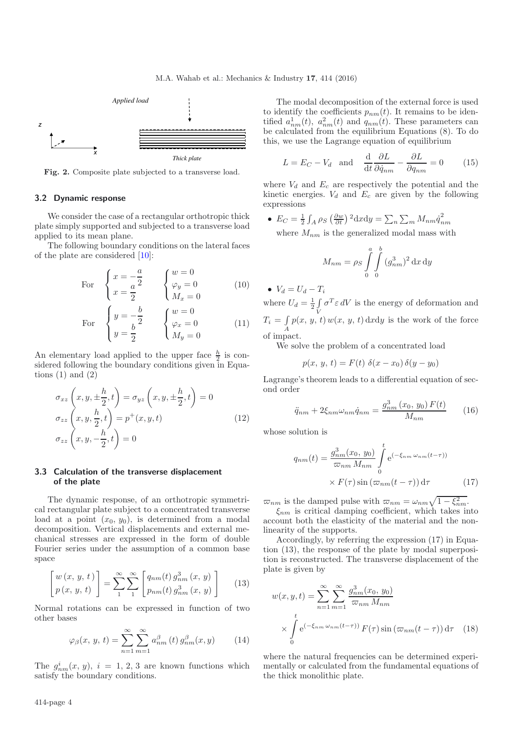

**Fig. 2.** Composite plate subjected to a transverse load.

#### **3.2 Dynamic response**

We consider the case of a rectangular orthotropic thick plate simply supported and subjected to a transverse load applied to its mean plane.

The following boundary conditions on the lateral faces of the plate are considered [\[10](#page-7-7)]:

For 
$$
\begin{cases} x = -\frac{a}{2} \\ x = \frac{a}{2} \end{cases} \qquad \begin{cases} w = 0 \\ \varphi_y = 0 \\ M_x = 0 \end{cases}
$$
 (10)

For 
$$
\begin{cases} y = -\frac{b}{2} \\ y = \frac{b}{2} \end{cases} \qquad \begin{cases} w = 0 \\ \varphi_x = 0 \\ M_y = 0 \end{cases}
$$
 (11)

An elementary load applied to the upper face  $\frac{h}{2}$  is considered following the boundary conditions given in Equations  $(1)$  and  $(2)$ 

$$
\sigma_{xz}\left(x,y,\pm\frac{h}{2},t\right) = \sigma_{yz}\left(x,y,\pm\frac{h}{2},t\right) = 0
$$
  
\n
$$
\sigma_{zz}\left(x,y,\frac{h}{2},t\right) = p^+(x,y,t)
$$
  
\n
$$
\sigma_{zz}\left(x,y,-\frac{h}{2},t\right) = 0
$$
\n(12)

## **3.3 Calculation of the transverse displacement of the plate**

The dynamic response, of an orthotropic symmetrical rectangular plate subject to a concentrated transverse load at a point  $(x_0, y_0)$ , is determined from a modal decomposition. Vertical displacements and external mechanical stresses are expressed in the form of double Fourier series under the assumption of a common base space

$$
\begin{bmatrix} w(x, y, t) \\ p(x, y, t) \end{bmatrix} = \sum_{1}^{\infty} \sum_{1}^{\infty} \begin{bmatrix} q_{nm}(t) g_{nm}^{3}(x, y) \\ p_{nm}(t) g_{nm}^{3}(x, y) \end{bmatrix}
$$
 (13)

Normal rotations can be expressed in function of two other bases

$$
\varphi_{\beta}(x, y, t) = \sum_{n=1}^{\infty} \sum_{m=1}^{\infty} a_{nm}^{\beta}(t) g_{nm}^{\beta}(x, y)
$$
 (14)

The  $g_{nm}^i(x, y)$ ,  $i = 1, 2, 3$  are known functions which satisfy the boundary conditions.

The modal decomposition of the external force is used to identify the coefficients  $p_{nm}(t)$ . It remains to be identified  $a_{nm}^1(t)$ ,  $a_{nm}^2(t)$  and  $q_{nm}(t)$ . These parameters can be calculated from the equilibrium Equations (8). To do this, we use the Lagrange equation of equilibrium

$$
L = E_C - V_d \quad \text{and} \quad \frac{\mathrm{d}}{\mathrm{d}t} \frac{\partial L}{\partial \dot{q}_{nm}} - \frac{\partial L}{\partial q_{nm}} = 0 \tag{15}
$$

where  $V_d$  and  $E_c$  are respectively the potential and the kinetic energies.  $V_d$  and  $E_c$  are given by the following expressions

• 
$$
E_C = \frac{1}{2} \int_A \rho_S \left(\frac{\partial w}{\partial t}\right)^2 dx dy = \sum_n \sum_m M_{nm} \dot{q}_{nm}^2
$$
  
where  $M$  is the generalized model space with

where  $M_{nm}$  is the generalized modal mass with

$$
M_{nm} = \rho_S \int\limits_0^a \int\limits_0^b (g_{nm}^3)^2 dx dy
$$

•  $V_d = U_d - T_i$ where  $U_d = \frac{1}{2} \int_V \sigma^T \varepsilon dV$  is the energy of deformation and  $T_i = \int_A p(x, y, t) w(x, y, t) dxdy$  is the work of the force of impact.

We solve the problem of a concentrated load

$$
p(x, y, t) = F(t) \, \delta(x - x_0) \, \delta(y - y_0)
$$

Lagrange's theorem leads to a differential equation of second order

$$
\ddot{q}_{nm} + 2\xi_{nm}\omega_{nm}\dot{q}_{nm} = \frac{g_{nm}^3(x_0, y_0) F(t)}{M_{nm}} \qquad (16)
$$

whose solution is

$$
q_{nm}(t) = \frac{g_{nm}^3(x_0, y_0)}{\varpi_{nm} M_{nm}} \int_0^t e^{(-\xi_{nm} \omega_{nm}(t-\tau))} \times F(\tau) \sin(\varpi_{nm}(t-\tau)) d\tau
$$
 (17)

 $\overline{\omega}_{nm}$  is the damped pulse with  $\overline{\omega}_{nm} = \omega_{nm} \sqrt{1 - \xi_{nm}^2}$ .

 $\xi_{nm}$  is critical damping coefficient, which takes into account both the elasticity of the material and the nonlinearity of the supports.

Accordingly, by referring the expression (17) in Equation (13), the response of the plate by modal superposition is reconstructed. The transverse displacement of the plate is given by

$$
w(x, y, t) = \sum_{n=1}^{\infty} \sum_{m=1}^{\infty} \frac{g_{nm}^3(x_0, y_0)}{\varpi_{nm} M_{nm}}
$$
  

$$
\times \int_{0}^{t} e^{(-\xi_{nm} \omega_{nm}(t-\tau))} F(\tau) \sin(\varpi_{nm}(t-\tau)) d\tau
$$
 (18)

where the natural frequencies can be determined experimentally or calculated from the fundamental equations of the thick monolithic plate.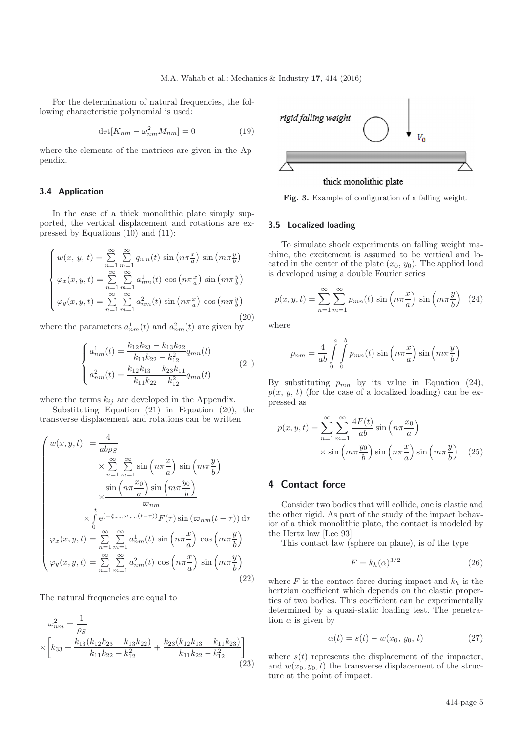For the determination of natural frequencies, the following characteristic polynomial is used:

$$
\det[K_{nm} - \omega_{nm}^2 M_{nm}] = 0 \tag{19}
$$

where the elements of the matrices are given in the Appendix.

## **3.4 Application**

In the case of a thick monolithic plate simply supported, the vertical displacement and rotations are expressed by Equations (10) and (11):

$$
\begin{cases}\nw(x, y, t) = \sum_{n=1}^{\infty} \sum_{m=1}^{\infty} q_{nm}(t) \sin\left(n\pi \frac{x}{a}\right) \sin\left(m\pi \frac{y}{b}\right) \\
\varphi_x(x, y, t) = \sum_{n=1}^{\infty} \sum_{m=1}^{\infty} a_{nm}^1(t) \cos\left(n\pi \frac{x}{a}\right) \sin\left(m\pi \frac{y}{b}\right) \\
\varphi_y(x, y, t) = \sum_{n=1}^{\infty} \sum_{m=1}^{\infty} a_{nm}^2(t) \sin\left(n\pi \frac{x}{a}\right) \cos\left(m\pi \frac{y}{b}\right)\n\end{cases}
$$
\n(20)

where the parameters  $a_{nm}^1(t)$  and  $a_{nm}^2(t)$  are given by

$$
\begin{cases}\na_{nm}^1(t) = \frac{k_{12}k_{23} - k_{13}k_{22}}{k_{11}k_{22} - k_{12}^2} q_{mn}(t) \\
a_{nm}^2(t) = \frac{k_{12}k_{13} - k_{23}k_{11}}{k_{11}k_{22} - k_{12}^2} q_{mn}(t)\n\end{cases} \tag{21}
$$

where the terms  $k_{ij}$  are developed in the Appendix.

Substituting Equation (21) in Equation (20), the transverse displacement and rotations can be written

$$
\begin{pmatrix}\nw(x, y, t) &= \frac{4}{ab\rho s} \\
\times \sum_{n=1}^{\infty} \sum_{m=1}^{\infty} \sin\left(n\pi \frac{x}{a}\right) \sin\left(m\pi \frac{y}{b}\right) \\
\times \frac{\sin\left(n\pi \frac{x_0}{a}\right) \sin\left(m\pi \frac{y_0}{b}\right)}{\pi_{nm}} \\
\times \int_{0}^{t} e^{(-\xi_{nm}\omega_{nm}(t-\tau))} F(\tau) \sin\left(\omega_{nm}(t-\tau)\right) d\tau \\
\varphi_x(x, y, t) &= \sum_{n=1}^{\infty} \sum_{m=1}^{\infty} a_{nm}^1(t) \sin\left(n\pi \frac{x}{a}\right) \cos\left(m\pi \frac{y}{b}\right) \\
\varphi_y(x, y, t) &= \sum_{n=1}^{\infty} \sum_{m=1}^{\infty} a_{nm}^2(t) \cos\left(n\pi \frac{x}{a}\right) \sin\left(m\pi \frac{y}{b}\right)\n\end{pmatrix}
$$
\n(22)

The natural frequencies are equal to

$$
\omega_{nm}^2 = \frac{1}{\rho_S}
$$
  
 
$$
\times \left[ k_{33} + \frac{k_{13}(k_{12}k_{23} - k_{13}k_{22})}{k_{11}k_{22} - k_{12}^2} + \frac{k_{23}(k_{12}k_{13} - k_{11}k_{23})}{k_{11}k_{22} - k_{12}^2} \right]
$$
(23)



**Fig. 3.** Example of configuration of a falling weight.

#### **3.5 Localized loading**

To simulate shock experiments on falling weight machine, the excitement is assumed to be vertical and located in the center of the plate  $(x_0, y_0)$ . The applied load is developed using a double Fourier series

$$
p(x, y, t) = \sum_{n=1}^{\infty} \sum_{m=1}^{\infty} p_{mn}(t) \sin\left(n\pi \frac{x}{a}\right) \sin\left(m\pi \frac{y}{b}\right) (24)
$$

where

$$
p_{nm} = \frac{4}{ab} \int_{0}^{a} \int_{0}^{b} p_{mn}(t) \sin\left(n\pi \frac{x}{a}\right) \sin\left(m\pi \frac{y}{b}\right)
$$

By substituting  $p_{mn}$  by its value in Equation (24),  $p(x, y, t)$  (for the case of a localized loading) can be expressed as

$$
p(x, y, t) = \sum_{n=1}^{\infty} \sum_{m=1}^{\infty} \frac{4F(t)}{ab} \sin\left(n\pi \frac{x_0}{a}\right)
$$

$$
\times \sin\left(m\pi \frac{y_0}{b}\right) \sin\left(n\pi \frac{x}{a}\right) \sin\left(m\pi \frac{y}{b}\right) \quad (25)
$$

## **4 Contact force**

Consider two bodies that will collide, one is elastic and the other rigid. As part of the study of the impact behavior of a thick monolithic plate, the contact is modeled by the Hertz law [Lee 93]

This contact law (sphere on plane), is of the type

$$
F = k_h(\alpha)^{3/2} \tag{26}
$$

where  $F$  is the contact force during impact and  $k_h$  is the hertzian coefficient which depends on the elastic properties of two bodies. This coefficient can be experimentally determined by a quasi-static loading test. The penetration  $\alpha$  is given by

$$
\alpha(t) = s(t) - w(x_0, y_0, t) \tag{27}
$$

where  $s(t)$  represents the displacement of the impactor, and  $w(x_0, y_0, t)$  the transverse displacement of the structure at the point of impact.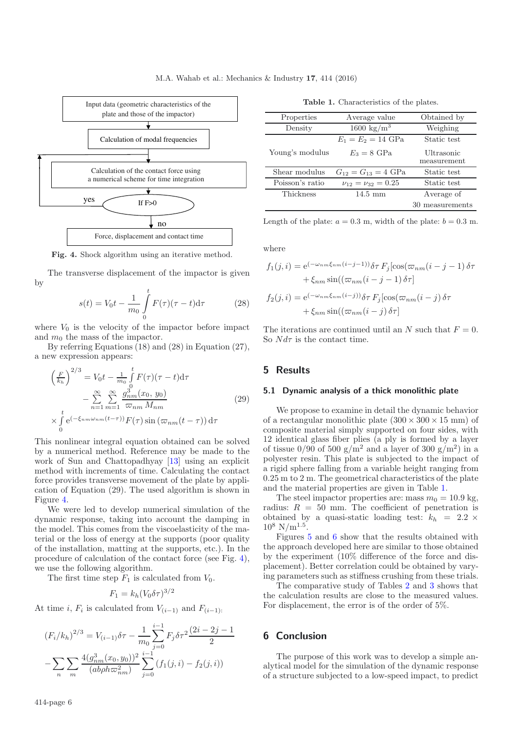<span id="page-5-0"></span>

Fig. 4. Shock algorithm using an iterative method.

The transverse displacement of the impactor is given by

$$
s(t) = V_0 t - \frac{1}{m_0} \int_{0}^{t} F(\tau)(\tau - t) d\tau
$$
 (28)

where  $V_0$  is the velocity of the impactor before impact and  $m_0$  the mass of the impactor.

By referring Equations (18) and (28) in Equation (27), a new expression appears:

$$
\left(\frac{F}{k_h}\right)^{2/3} = V_0 t - \frac{1}{m_0} \int_0^t F(\tau)(\tau - t) d\tau \n- \sum_{n=1}^{\infty} \sum_{m=1}^{\infty} \frac{g_{nm}^3(x_0, y_0)}{\varpi_{nm} M_{nm}} \n\times \int_0^t e^{(-\xi_{nm}\omega_{nm}(t-\tau))} F(\tau) \sin\left(\varpi_{nm}(t-\tau)\right) d\tau
$$
\n(29)

This nonlinear integral equation obtained can be solved by a numerical method. Reference may be made to the work of Sun and Chattopadhyay [\[13\]](#page-7-8) using an explicit method with increments of time. Calculating the contact force provides transverse movement of the plate by application of Equation (29). The used algorithm is shown in Figure [4.](#page-5-0)

We were led to develop numerical simulation of the dynamic response, taking into account the damping in the model. This comes from the viscoelasticity of the material or the loss of energy at the supports (poor quality of the installation, matting at the supports, etc.). In the procedure of calculation of the contact force (see Fig. [4\)](#page-5-0), we use the following algorithm.

The first time step  $F_1$  is calculated from  $V_0$ .

$$
F_1 = k_h (V_0 \delta \tau)^{3/2}
$$

At time i,  $F_i$  is calculated from  $V_{(i-1)}$  and  $F_{(i-1)}$ .

$$
(F_i/k_h)^{2/3} = V_{(i-1)}\delta\tau - \frac{1}{m_0} \sum_{j=0}^{i-1} F_j \delta\tau^2 \frac{(2i-2j-1)}{2}
$$

$$
-\sum_n \sum_m \frac{4(g_{nm}^3(x_0, y_0))^2}{(ab\rho h \varpi_{nm}^2)} \sum_{j=0}^{i-1} (f_1(j, i) - f_2(j, i))
$$

<span id="page-5-1"></span>**Table 1.** Characteristics of the plates.

| Properties      | Average value                | Obtained by               |
|-----------------|------------------------------|---------------------------|
| Density         | $1600 \text{ kg/m}^3$        | Weighing                  |
|                 | $E_1 = E_2 = 14$ GPa         | Static test               |
| Young's modulus | $E_3 = 8$ GPa                | Ultrasonic<br>measurement |
| Shear modulus   | $G_{12} = G_{13} = 4$ GPa    | Static test               |
| Poisson's ratio | $\nu_{12} = \nu_{32} = 0.25$ | Static test               |
| Thickness       | $14.5 \text{ mm}$            | Average of                |
|                 |                              | measurements              |

Length of the plate:  $a = 0.3$  m, width of the plate:  $b = 0.3$  m.

where

$$
f_1(j,i) = e^{(-\omega_{nm}\xi_{nm}(i-j-1))}\delta \tau F_j[\cos(\varpi_{nm}(i-j-1)\delta \tau
$$

$$
+\xi_{nm}\sin((\varpi_{nm}(i-j-1)\delta \tau])
$$

$$
f_2(j,i) = e^{(-\omega_{nm}\xi_{nm}(i-j))}\delta \tau F_j[\cos(\varpi_{nm}(i-j)\delta \tau
$$

$$
+\xi_{nm}\sin((\varpi_{nm}(i-j)\delta \tau])
$$

The iterations are continued until an N such that  $F = 0$ . So  $N d\tau$  is the contact time.

#### **5 Results**

#### **5.1 Dynamic analysis of a thick monolithic plate**

We propose to examine in detail the dynamic behavior of a rectangular monolithic plate  $(300 \times 300 \times 15 \text{ mm})$  of composite material simply supported on four sides, with 12 identical glass fiber plies (a ply is formed by a layer of tissue  $0/90$  of 500 g/m<sup>2</sup> and a layer of 300 g/m<sup>2</sup>) in a polyester resin. This plate is subjected to the impact of a rigid sphere falling from a variable height ranging from 0.25 m to 2 m. The geometrical characteristics of the plate and the material properties are given in Table [1.](#page-5-1)

The steel impactor properties are: mass  $m_0 = 10.9$  kg, radius:  $R = 50$  mm. The coefficient of penetration is obtained by a quasi-static loading test:  $k_h$  = 2.2  $\times$  $10^8$  N/m<sup>1.5</sup>.

Figures [5](#page-6-0) and [6](#page-6-1) show that the results obtained with the approach developed here are similar to those obtained by the experiment (10% difference of the force and displacement). Better correlation could be obtained by varying parameters such as stiffness crushing from these trials.

The comparative study of Tables [2](#page-6-2) and [3](#page-6-3) shows that the calculation results are close to the measured values. For displacement, the error is of the order of 5%.

## **6 Conclusion**

The purpose of this work was to develop a simple analytical model for the simulation of the dynamic response of a structure subjected to a low-speed impact, to predict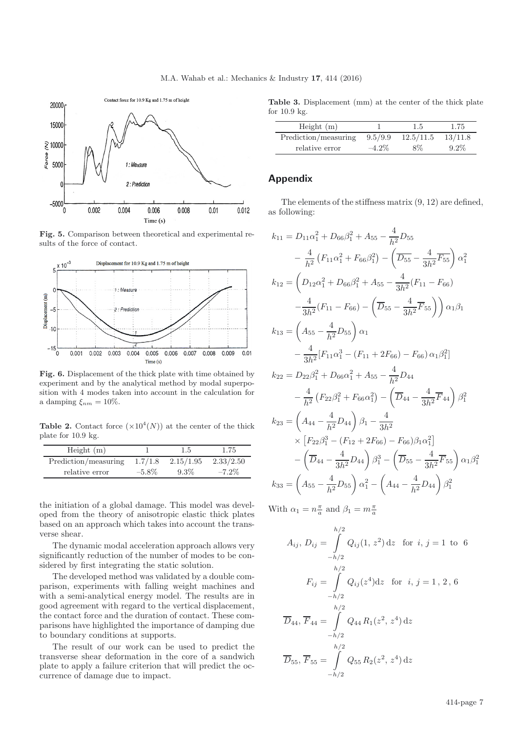<span id="page-6-0"></span>

**Fig. 5.** Comparison between theoretical and experimental results of the force of contact.

<span id="page-6-2"></span><span id="page-6-1"></span>

**Fig. 6.** Displacement of the thick plate with time obtained by experiment and by the analytical method by modal superposition with 4 modes taken into account in the calculation for a damping  $\xi_{nm} = 10\%.$ 

**Table 2.** Contact force  $(\times 10^4(N))$  at the center of the thick plate for 10.9 kg.

| Height(m)            |          | 1.5       | 1.75      |
|----------------------|----------|-----------|-----------|
| Prediction/measuring | 1.7/1.8  | 2.15/1.95 | 2.33/2.50 |
| relative error       | $-5.8\%$ | $9.3\%$   | $-7.2\%$  |

the initiation of a global damage. This model was developed from the theory of anisotropic elastic thick plates based on an approach which takes into account the transverse shear.

The dynamic modal acceleration approach allows very significantly reduction of the number of modes to be considered by first integrating the static solution.

The developed method was validated by a double comparison, experiments with falling weight machines and with a semi-analytical energy model. The results are in good agreement with regard to the vertical displacement, the contact force and the duration of contact. These comparisons have highlighted the importance of damping due to boundary conditions at supports.

The result of our work can be used to predict the transverse shear deformation in the core of a sandwich plate to apply a failure criterion that will predict the occurrence of damage due to impact.

<span id="page-6-3"></span>**Table 3.** Displacement (mm) at the center of the thick plate for 10.9 kg.

| Height $(m)$         |          | 1.5       | 1.75    |
|----------------------|----------|-----------|---------|
| Prediction/measuring | 9.5/9.9  | 12.5/11.5 | 13/11.8 |
| relative error       | $-4.2\%$ | 8%        | $9.2\%$ |

# **Appendix**

The elements of the stiffness matrix (9, 12) are defined, as following:

$$
k_{11} = D_{11}\alpha_1^2 + D_{66}\beta_1^2 + A_{55} - \frac{4}{h^2}D_{55}
$$
  
\n
$$
- \frac{4}{h^2}(F_{11}\alpha_1^2 + F_{66}\beta_1^2) - (\overline{D_{55}} - \frac{4}{3h^2}\overline{F_{55}}) \alpha_1^2
$$
  
\n
$$
k_{12} = (D_{12}\alpha_1^2 + D_{66}\beta_1^2 + A_{55} - \frac{4}{3h^2}(F_{11} - F_{66})
$$
  
\n
$$
- \frac{4}{3h^2}(F_{11} - F_{66}) - (\overline{D}_{55} - \frac{4}{3h^2}\overline{F}_{55}) \alpha_1 \beta_1
$$
  
\n
$$
k_{13} = (A_{55} - \frac{4}{h^2}D_{55}) \alpha_1
$$
  
\n
$$
- \frac{4}{3h^2}[F_{11}\alpha_1^3 - (F_{11} + 2F_{66}) - F_{66}) \alpha_1 \beta_1^2]
$$
  
\n
$$
k_{22} = D_{22}\beta_1^2 + D_{66}\alpha_1^2 + A_{55} - \frac{4}{h^2}D_{44}
$$
  
\n
$$
- \frac{4}{h^2}(F_{22}\beta_1^2 + F_{66}\alpha_1^2) - (\overline{D}_{44} - \frac{4}{3h^2}\overline{F}_{44}) \beta_1^2
$$
  
\n
$$
k_{23} = (A_{44} - \frac{4}{h^2}D_{44}) \beta_1 - \frac{4}{3h^2}
$$
  
\n
$$
\times [F_{22}\beta_1^3 - (F_{12} + 2F_{66}) - F_{66}) \beta_1 \alpha_1^2]
$$
  
\n
$$
- (\overline{D}_{44} - \frac{4}{3h^2}D_{44}) \beta_1^3 - (\overline{D}_{55} - \frac{4}{3h^2}\overline{F}_{55}) \alpha_1 \beta_1^2
$$
  
\n
$$
k_{33} = (A_{55} - \frac{4}{h^2}D_{55}) \alpha_1^2 - (A_{44} - \frac{4
$$

With  $\alpha_1 = n \frac{\pi}{a}$  and  $\beta_1 = m \frac{\pi}{a}$ 

$$
A_{ij}, D_{ij} = \int_{-h/2}^{h/2} Q_{ij}(1, z^2) dz \text{ for } i, j = 1 \text{ to } 6
$$
  

$$
F_{ij} = \int_{-h/2}^{h/2} Q_{ij}(z^4) dz \text{ for } i, j = 1, 2, 6
$$
  

$$
\overline{D}_{44}, \overline{F}_{44} = \int_{-h/2}^{h/2} Q_{44} R_1(z^2, z^4) dz
$$
  

$$
\overline{D}_{55}, \overline{F}_{55} = \int_{-h/2}^{h/2} Q_{55} R_2(z^2, z^4) dz
$$